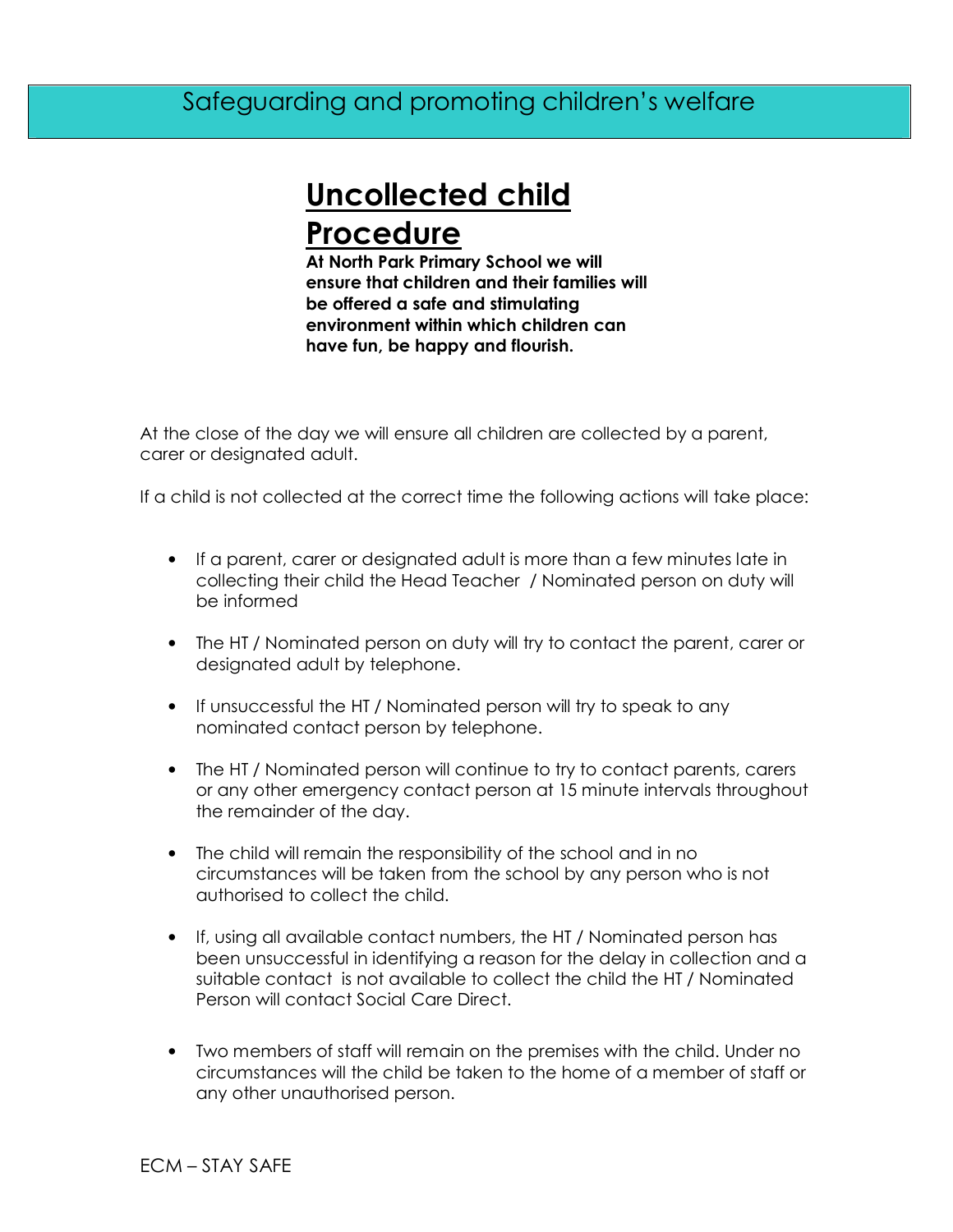## Safeguarding and promoting children's welfare

## **Uncollected child Procedure**

**At North Park Primary School we will ensure that children and their families will be offered a safe and stimulating environment within which children can have fun, be happy and flourish.** 

At the close of the day we will ensure all children are collected by a parent, carer or designated adult.

If a child is not collected at the correct time the following actions will take place:

- If a parent, carer or designated adult is more than a few minutes late in collecting their child the Head Teacher / Nominated person on duty will be informed
- The HT / Nominated person on duty will try to contact the parent, carer or designated adult by telephone.
- If unsuccessful the HT / Nominated person will try to speak to any nominated contact person by telephone.
- The HT / Nominated person will continue to try to contact parents, carers or any other emergency contact person at 15 minute intervals throughout the remainder of the day.
- The child will remain the responsibility of the school and in no circumstances will be taken from the school by any person who is not authorised to collect the child.
- If, using all available contact numbers, the HT / Nominated person has been unsuccessful in identifying a reason for the delay in collection and a suitable contact is not available to collect the child the HT / Nominated Person will contact Social Care Direct.
- Two members of staff will remain on the premises with the child. Under no circumstances will the child be taken to the home of a member of staff or any other unauthorised person.